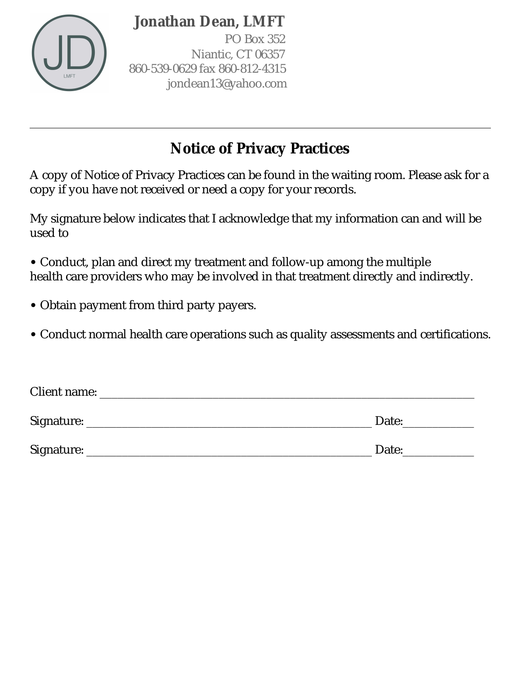

PO Box 352 Niantic, CT 06357 860-539-0629 fax 860-812-4315 jondean13@yahoo.com

# **Notice of Privacy Practices**

A copy of Notice of Privacy Practices can be found in the waiting room. Please ask for a copy if you have not received or need a copy for your records.

My signature below indicates that I acknowledge that my information can and will be used to

• Conduct, plan and direct my treatment and follow-up among the multiple health care providers who may be involved in that treatment directly and indirectly.

- Obtain payment from third party payers.
- Conduct normal health care operations such as quality assessments and certifications.

| Client name: |       |
|--------------|-------|
| Signature:   | Date: |
| Signature:   | Date: |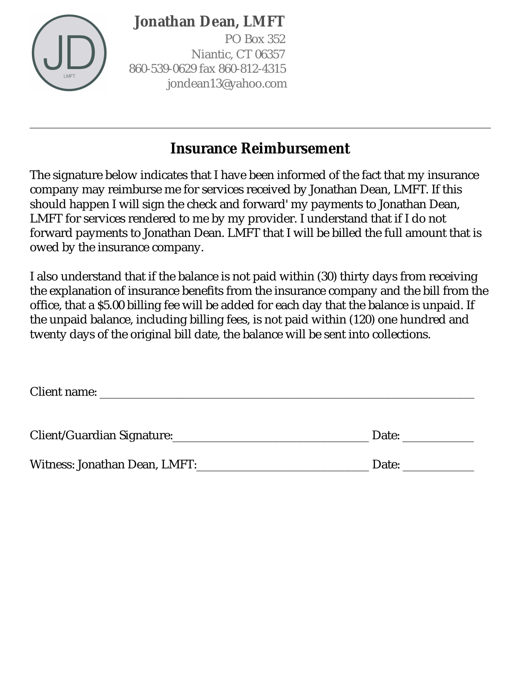PO Box 352 Niantic, CT 06357 860-539-0629 fax 860-812-4315 jondean13@yahoo.com

# **Insurance Reimbursement**

The signature below indicates that I have been informed of the fact that my insurance company may reimburse me for services received by Jonathan Dean, LMFT. If this should happen I will sign the check and forward' my payments to Jonathan Dean, LMFT for services rendered to me by my provider. I understand that if I do not forward payments to Jonathan Dean. LMFT that I will be billed the full amount that is owed by the insurance company.

I also understand that if the balance is not paid within (30) thirty days from receiving the explanation of insurance benefits from the insurance company and the bill from the office, that a \$5.00 billing fee will be added for each day that the balance is unpaid. If the unpaid balance, including billing fees, is not paid within (120) one hundred and twenty days of the original bill date, the balance will be sent into collections.

Client name: \_\_\_\_\_\_\_\_\_\_\_\_\_\_\_\_\_\_\_\_\_\_\_\_\_\_\_\_\_\_\_\_\_\_\_\_\_\_\_\_\_\_\_\_\_\_\_\_\_\_\_\_\_\_\_\_\_\_\_\_\_\_\_

| Client/Guardian Signature:    | Date: |
|-------------------------------|-------|
| Witness: Jonathan Dean, LMFT: | Date: |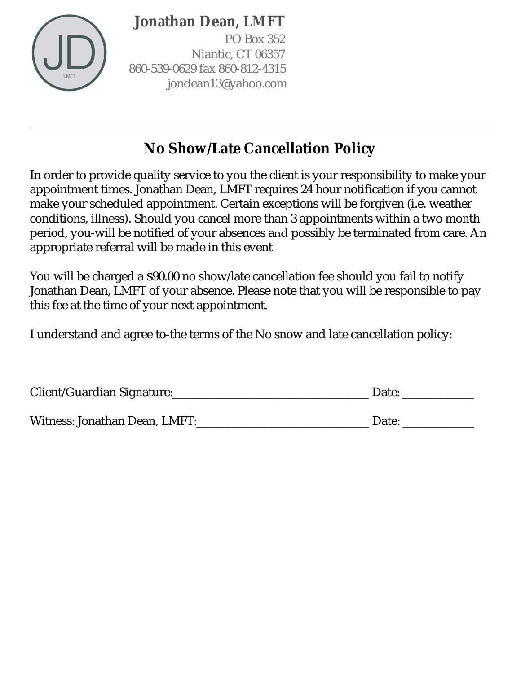PO Box 352 Niantic, CT 06357 860-539-0629 fax 860-812-4315 jondean13@yahoo.com

# **No Show/Late Cancellation Policy**

In order to provide quality service to you the client is your responsibility to make your appointment times. Jonathan Dean, LMFT requires 24 hour notification if you cannot make your scheduled appointment. Certain exceptions will be forgiven (i.e. weather conditions, illness). Should you cancel more than 3 appointments within a two month period, you-will be notified of your absences and possibly be terminated from care. An appropriate referral will be made in this event

You will be charged a \$90.00 no show/late cancellation fee should you fail to notify Jonathan Dean, LMFT of your absence. Please note that you will be responsible to pay this fee at the time of your next appointment.

I understand and agree to-the terms of the No snow and late cancellation policy:

| Client/Guardian Signature: | Date <sup>·</sup> |
|----------------------------|-------------------|
|                            |                   |

Witness: Jonathan Dean, LMFT:\_\_\_\_\_\_\_\_\_\_\_\_\_\_\_\_\_\_\_\_\_\_\_\_\_\_\_\_\_\_\_\_\_Date: \_\_\_\_\_\_\_\_\_\_\_\_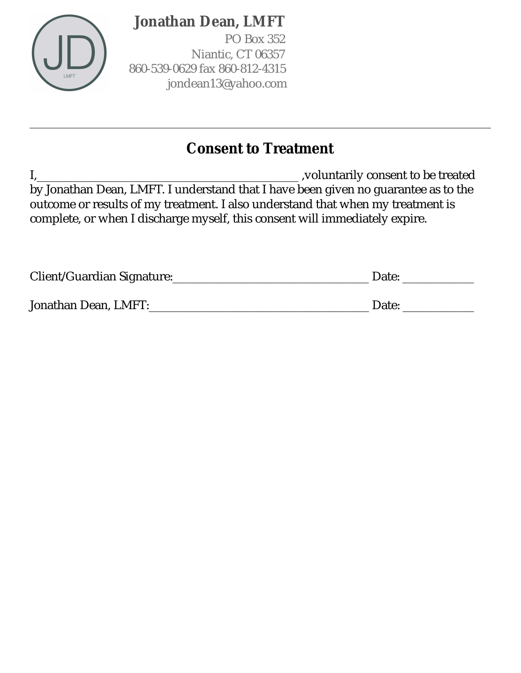

PO Box 352 Niantic, CT 06357 860-539-0629 fax 860-812-4315 jondean13@yahoo.com

### **Consent to Treatment**

I,\_\_\_\_\_\_\_\_\_\_\_\_\_\_\_\_\_\_\_\_\_\_\_\_\_\_\_\_\_\_\_\_\_\_\_\_\_\_\_\_\_\_\_\_ ,voluntarily consent to be treated by Jonathan Dean, LMFT. I understand that I have been given no guarantee as to the outcome or results of my treatment. I also understand that when my treatment is complete, or when I discharge myself, this consent will immediately expire.

| Client/Guardian Signature: | Date: |
|----------------------------|-------|
|                            |       |
| Jonathan Dean, LMFT:       | Date: |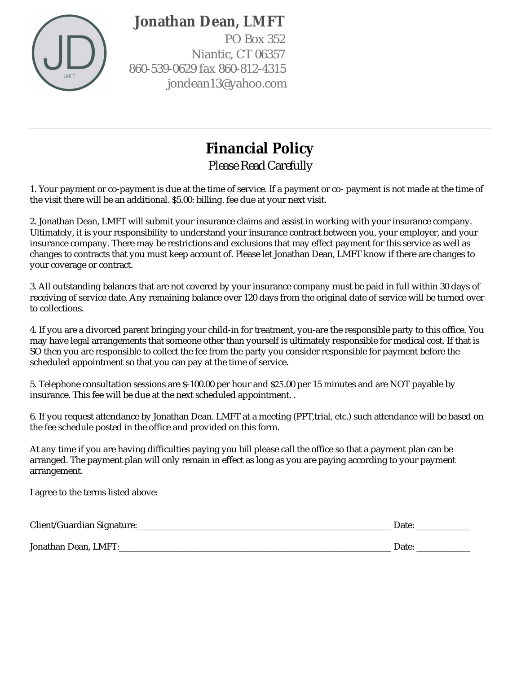

PO Box 352 Niantic, CT 06357 860-539-0629 fax 860-812-4315 jondean13@yahoo.com

# **Financial Policy**

*Please Read Carefully*

1. Your payment or co-payment is due at the time of service. If a payment or co- payment is not made at the time of the visit there will be an additional. \$5.00: billing. fee due at your next visit.

2. Jonathan Dean, LMFT will submit your insurance claims and assist in working with your insurance company. Ultimately, it is your responsibility to understand your insurance contract between you, your employer, and your insurance company. There may be restrictions and exclusions that may effect payment for this service as well as changes to contracts that you must keep account of. Please let Jonathan Dean, LMFT know if there are changes to your coverage or contract.

3. All outstanding balances that are not covered by your insurance company must be paid in full within 30 days of receiving of service date. Any remaining balance over 120 days from the original date of service will be turned over to collections.

4. If you are a divorced parent bringing your child-in for treatment, you-are the responsible party to this office. You may have legal arrangements that someone other than yourself is ultimately responsible for medical cost. If that is SO then you are responsible to collect the fee from the party you consider responsible for payment before the scheduled appointment so that you can pay at the time of service.

5. Telephone consultation sessions are \$-100.00 per hour and \$25.00 per 15 minutes and are NOT payable by insurance. This fee will be due at the next scheduled appointment. .

6. If you request attendance by Jonathan Dean. LMFT at a meeting (PPT,trial, etc.) such attendance will be based on the fee schedule posted in the office and provided on this form.

At any time if you are having difficulties paying you bill please call the office so that a payment plan can be arranged. The payment plan will only remain in effect as long as you are paying according to your payment arrangement.

I agree to the terms listed above:

| Client/Guardian Signature: | Date  |
|----------------------------|-------|
| Jonathan Dean, LMFT:       | Date. |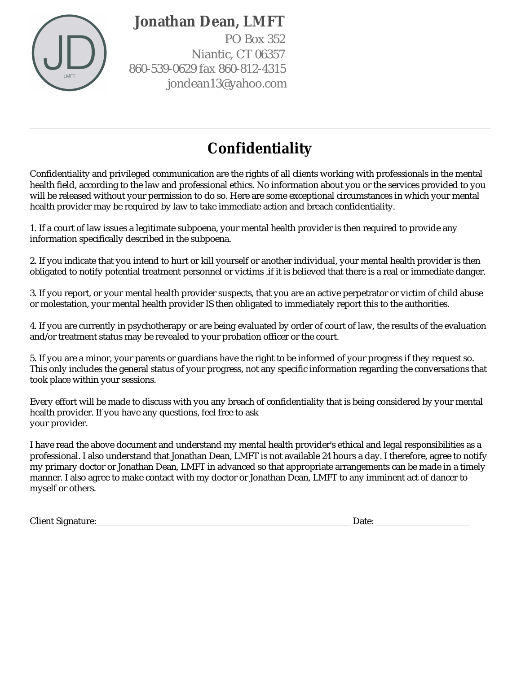

PO Box 352 Niantic, CT 06357 860-539-0629 fax 860-812-4315 jondean13@yahoo.com

# **Confidentiality**

Confidentiality and privileged communication are the rights of all clients working with professionals in the mental health field, according to the law and professional ethics. No information about you or the services provided to you will be released without your permission to do so. Here are some exceptional circumstances in which your mental health provider may be required by law to take immediate action and breach confidentiality.

1. If a court of law issues a legitimate subpoena, your mental health provider is then required to provide any information specifically described in the subpoena.

2. If you indicate that you intend to hurt or kill yourself or another individual, your mental health provider is then obligated to notify potential treatment personnel or victims .if it is believed that there is a real or immediate danger.

3. If you report, or your mental health provider suspects, that you are an active perpetrator or victim of child abuse or molestation, your mental health provider IS then obligated to immediately report this to the authorities.

4. If you are currently in psychotherapy or are being evaluated by order of court of law, the results of the evaluation and/or treatment status may be revealed to your probation officer or the court.

5. If you are a minor, your parents or guardians have the right to be informed of your progress if they request so. This only includes the general status of your progress, not any specific information regarding the conversations that took place within your sessions.

Every effort will be made to discuss with you any breach of confidentiality that is being considered by your mental health provider. If you have any questions, feel free to ask your provider.

I have read the above document and understand my mental health provider's ethical and legal responsibilities as a professional. I also understand that Jonathan Dean, LMFT is not available 24 hours a day. I therefore, agree to notify my primary doctor or Jonathan Dean, LMFT in advanced so that appropriate arrangements can be made in a timely manner. I also agree to make contact with my doctor or Jonathan Dean, LMFT to any imminent act of dancer to myself or others.

Client Signature:\_\_\_\_\_\_\_\_\_\_\_\_\_\_\_\_\_\_\_\_\_\_\_\_\_\_\_\_\_\_\_\_\_\_\_\_\_\_\_\_\_\_\_\_\_\_\_\_\_\_\_\_\_\_\_\_\_ Date: \_\_\_\_\_\_\_\_\_\_\_\_\_\_\_\_\_\_\_\_\_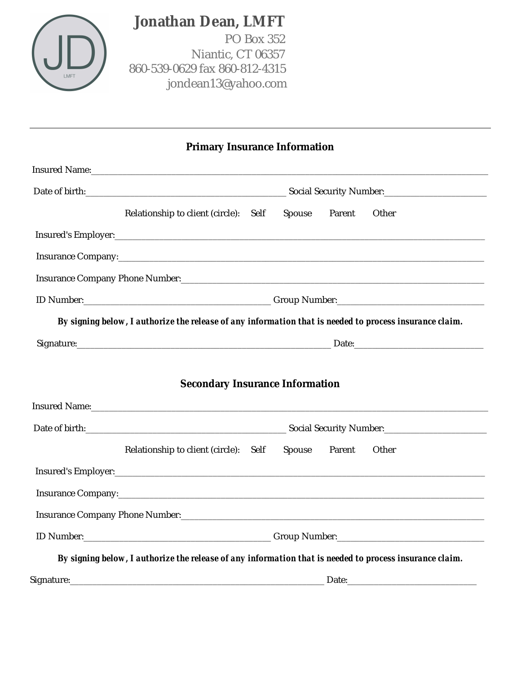

 PO Box 352 Niantic, CT 06357 860-539-0629 fax 860-812-4315 jondean13@yahoo.com

|  |  | <b>Primary Insurance Information</b> |
|--|--|--------------------------------------|
|--|--|--------------------------------------|

| Insured Name: Name and Solid Assembly and Solid Assembly and Solid Assembly and Solid Assembly and Solid Assembly and Solid Assembly and Solid Assembly and Assembly and Assembly and Assembly and Assembly and Assembly and A |  |               |       |
|--------------------------------------------------------------------------------------------------------------------------------------------------------------------------------------------------------------------------------|--|---------------|-------|
|                                                                                                                                                                                                                                |  |               |       |
| Relationship to client (circle): Self                                                                                                                                                                                          |  | Spouse Parent | Other |
|                                                                                                                                                                                                                                |  |               |       |
|                                                                                                                                                                                                                                |  |               |       |
|                                                                                                                                                                                                                                |  |               |       |
|                                                                                                                                                                                                                                |  |               |       |
| By signing below, I authorize the release of any information that is needed to process insurance claim.                                                                                                                        |  |               |       |
| Signature: Date: Date: Date:                                                                                                                                                                                                   |  |               |       |
|                                                                                                                                                                                                                                |  |               |       |
| <b>Secondary Insurance Information</b>                                                                                                                                                                                         |  |               |       |
| Insured Name: Name and Name and Name and Name and Name and Name and Name and Name and Name and Name and Name and Name and Name and Name and Name and Name and Name and Name and Name and Name and Name and Name and Name and N |  |               |       |
| Date of birth: <u>Charles Communications and Security Number: Charles Containers and Security Number:</u>                                                                                                                      |  |               |       |
| Relationship to client (circle): Self Spouse Parent                                                                                                                                                                            |  |               | Other |
|                                                                                                                                                                                                                                |  |               |       |
|                                                                                                                                                                                                                                |  |               |       |
|                                                                                                                                                                                                                                |  |               |       |
| ID Number: Croup Number: Croup Number:                                                                                                                                                                                         |  |               |       |
| By signing below, I authorize the release of any information that is needed to process insurance claim.                                                                                                                        |  |               |       |
| Signature: Date: Date: Date:                                                                                                                                                                                                   |  |               |       |